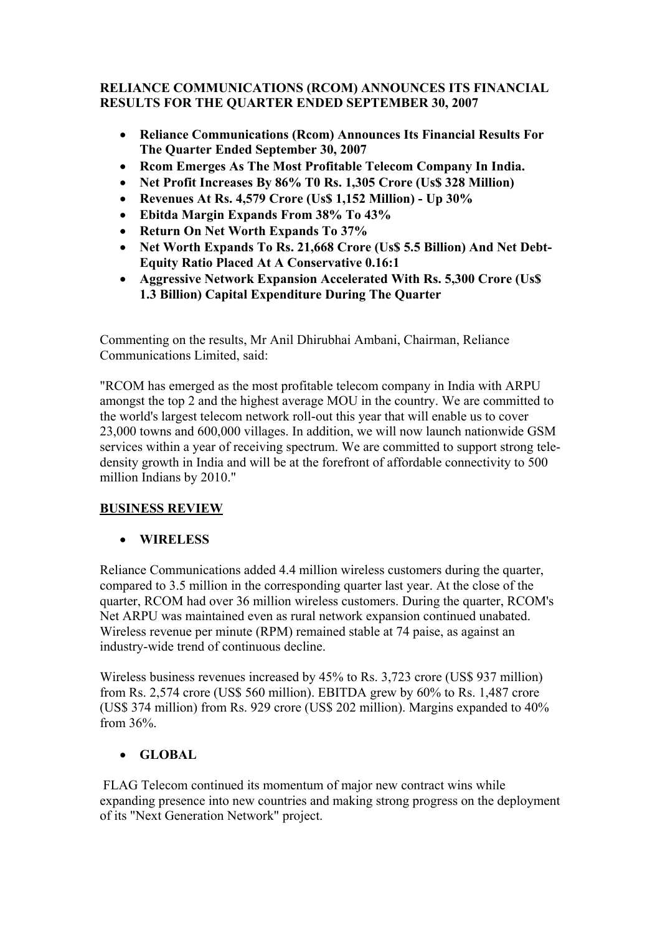### **RELIANCE COMMUNICATIONS (RCOM) ANNOUNCES ITS FINANCIAL RESULTS FOR THE QUARTER ENDED SEPTEMBER 30, 2007**

- **Reliance Communications (Rcom) Announces Its Financial Results For The Quarter Ended September 30, 2007**
- **Rcom Emerges As The Most Profitable Telecom Company In India.**
- **Net Profit Increases By 86% T0 Rs. 1,305 Crore (Us\$ 328 Million)**
- **Revenues At Rs. 4,579 Crore (Us\$ 1,152 Million) Up 30%**
- **Ebitda Margin Expands From 38% To 43%**
- **Return On Net Worth Expands To 37%**
- **Net Worth Expands To Rs. 21,668 Crore (Us\$ 5.5 Billion) And Net Debt-Equity Ratio Placed At A Conservative 0.16:1**
- **Aggressive Network Expansion Accelerated With Rs. 5,300 Crore (Us\$ 1.3 Billion) Capital Expenditure During The Quarter**

Commenting on the results, Mr Anil Dhirubhai Ambani, Chairman, Reliance Communications Limited, said:

"RCOM has emerged as the most profitable telecom company in India with ARPU amongst the top 2 and the highest average MOU in the country. We are committed to the world's largest telecom network roll-out this year that will enable us to cover 23,000 towns and 600,000 villages. In addition, we will now launch nationwide GSM services within a year of receiving spectrum. We are committed to support strong teledensity growth in India and will be at the forefront of affordable connectivity to 500 million Indians by 2010."

# **BUSINESS REVIEW**

# • **WIRELESS**

Reliance Communications added 4.4 million wireless customers during the quarter, compared to 3.5 million in the corresponding quarter last year. At the close of the quarter, RCOM had over 36 million wireless customers. During the quarter, RCOM's Net ARPU was maintained even as rural network expansion continued unabated. Wireless revenue per minute (RPM) remained stable at 74 paise, as against an industry-wide trend of continuous decline.

Wireless business revenues increased by 45% to Rs. 3,723 crore (US\$ 937 million) from Rs. 2,574 crore (US\$ 560 million). EBITDA grew by 60% to Rs. 1,487 crore (US\$ 374 million) from Rs. 929 crore (US\$ 202 million). Margins expanded to 40% from 36%.

# • **GLOBAL**

FLAG Telecom continued its momentum of major new contract wins while expanding presence into new countries and making strong progress on the deployment of its "Next Generation Network" project.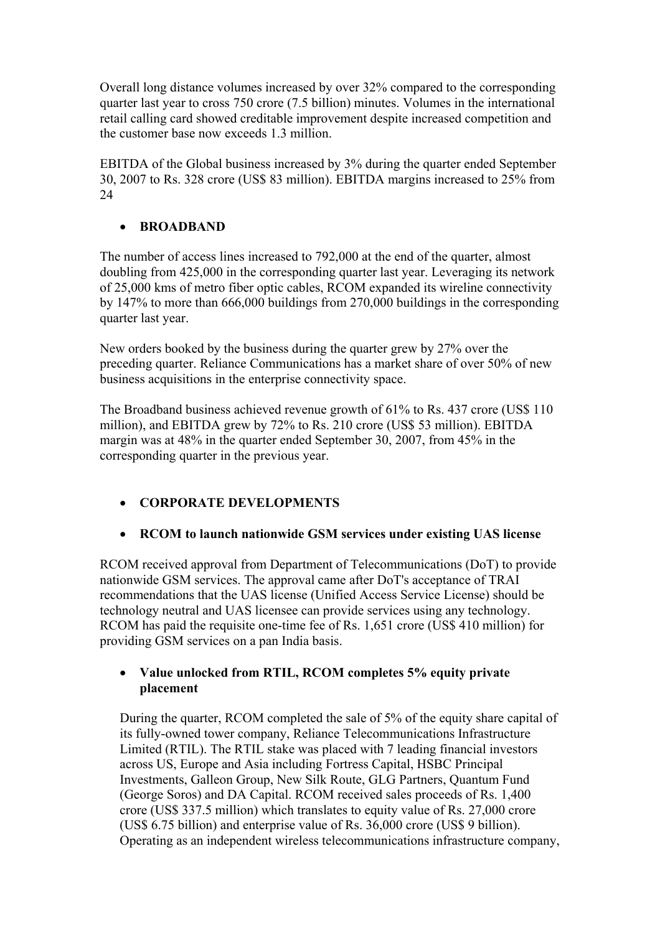Overall long distance volumes increased by over 32% compared to the corresponding quarter last year to cross 750 crore (7.5 billion) minutes. Volumes in the international retail calling card showed creditable improvement despite increased competition and the customer base now exceeds 1.3 million.

EBITDA of the Global business increased by 3% during the quarter ended September 30, 2007 to Rs. 328 crore (US\$ 83 million). EBITDA margins increased to 25% from 24

# • **BROADBAND**

The number of access lines increased to 792,000 at the end of the quarter, almost doubling from 425,000 in the corresponding quarter last year. Leveraging its network of 25,000 kms of metro fiber optic cables, RCOM expanded its wireline connectivity by 147% to more than 666,000 buildings from 270,000 buildings in the corresponding quarter last year.

New orders booked by the business during the quarter grew by 27% over the preceding quarter. Reliance Communications has a market share of over 50% of new business acquisitions in the enterprise connectivity space.

The Broadband business achieved revenue growth of 61% to Rs. 437 crore (US\$ 110 million), and EBITDA grew by 72% to Rs. 210 crore (US\$ 53 million). EBITDA margin was at 48% in the quarter ended September 30, 2007, from 45% in the corresponding quarter in the previous year.

# • **CORPORATE DEVELOPMENTS**

### • **RCOM to launch nationwide GSM services under existing UAS license**

RCOM received approval from Department of Telecommunications (DoT) to provide nationwide GSM services. The approval came after DoT's acceptance of TRAI recommendations that the UAS license (Unified Access Service License) should be technology neutral and UAS licensee can provide services using any technology. RCOM has paid the requisite one-time fee of Rs. 1,651 crore (US\$ 410 million) for providing GSM services on a pan India basis.

#### • **Value unlocked from RTIL, RCOM completes 5% equity private placement**

During the quarter, RCOM completed the sale of 5% of the equity share capital of its fully-owned tower company, Reliance Telecommunications Infrastructure Limited (RTIL). The RTIL stake was placed with 7 leading financial investors across US, Europe and Asia including Fortress Capital, HSBC Principal Investments, Galleon Group, New Silk Route, GLG Partners, Quantum Fund (George Soros) and DA Capital. RCOM received sales proceeds of Rs. 1,400 crore (US\$ 337.5 million) which translates to equity value of Rs. 27,000 crore (US\$ 6.75 billion) and enterprise value of Rs. 36,000 crore (US\$ 9 billion). Operating as an independent wireless telecommunications infrastructure company,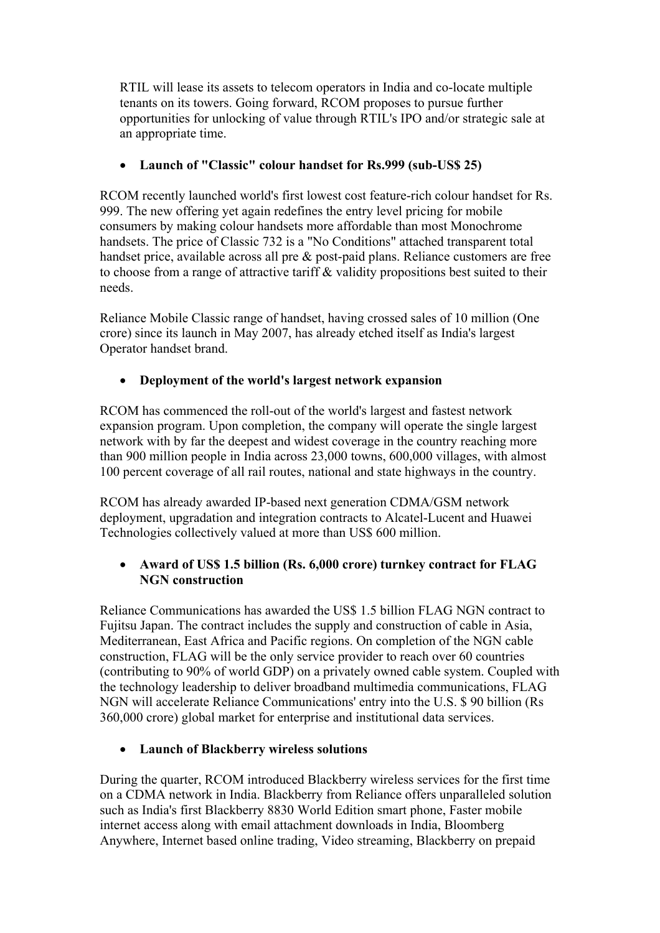RTIL will lease its assets to telecom operators in India and co-locate multiple tenants on its towers. Going forward, RCOM proposes to pursue further opportunities for unlocking of value through RTIL's IPO and/or strategic sale at an appropriate time.

# • **Launch of "Classic" colour handset for Rs.999 (sub-US\$ 25)**

RCOM recently launched world's first lowest cost feature-rich colour handset for Rs. 999. The new offering yet again redefines the entry level pricing for mobile consumers by making colour handsets more affordable than most Monochrome handsets. The price of Classic 732 is a "No Conditions" attached transparent total handset price, available across all pre & post-paid plans. Reliance customers are free to choose from a range of attractive tariff & validity propositions best suited to their needs.

Reliance Mobile Classic range of handset, having crossed sales of 10 million (One crore) since its launch in May 2007, has already etched itself as India's largest Operator handset brand.

### • **Deployment of the world's largest network expansion**

RCOM has commenced the roll-out of the world's largest and fastest network expansion program. Upon completion, the company will operate the single largest network with by far the deepest and widest coverage in the country reaching more than 900 million people in India across 23,000 towns, 600,000 villages, with almost 100 percent coverage of all rail routes, national and state highways in the country.

RCOM has already awarded IP-based next generation CDMA/GSM network deployment, upgradation and integration contracts to Alcatel-Lucent and Huawei Technologies collectively valued at more than US\$ 600 million.

### • **Award of US\$ 1.5 billion (Rs. 6,000 crore) turnkey contract for FLAG NGN construction**

Reliance Communications has awarded the US\$ 1.5 billion FLAG NGN contract to Fujitsu Japan. The contract includes the supply and construction of cable in Asia, Mediterranean, East Africa and Pacific regions. On completion of the NGN cable construction, FLAG will be the only service provider to reach over 60 countries (contributing to 90% of world GDP) on a privately owned cable system. Coupled with the technology leadership to deliver broadband multimedia communications, FLAG NGN will accelerate Reliance Communications' entry into the U.S. \$ 90 billion (Rs 360,000 crore) global market for enterprise and institutional data services.

### • **Launch of Blackberry wireless solutions**

During the quarter, RCOM introduced Blackberry wireless services for the first time on a CDMA network in India. Blackberry from Reliance offers unparalleled solution such as India's first Blackberry 8830 World Edition smart phone, Faster mobile internet access along with email attachment downloads in India, Bloomberg Anywhere, Internet based online trading, Video streaming, Blackberry on prepaid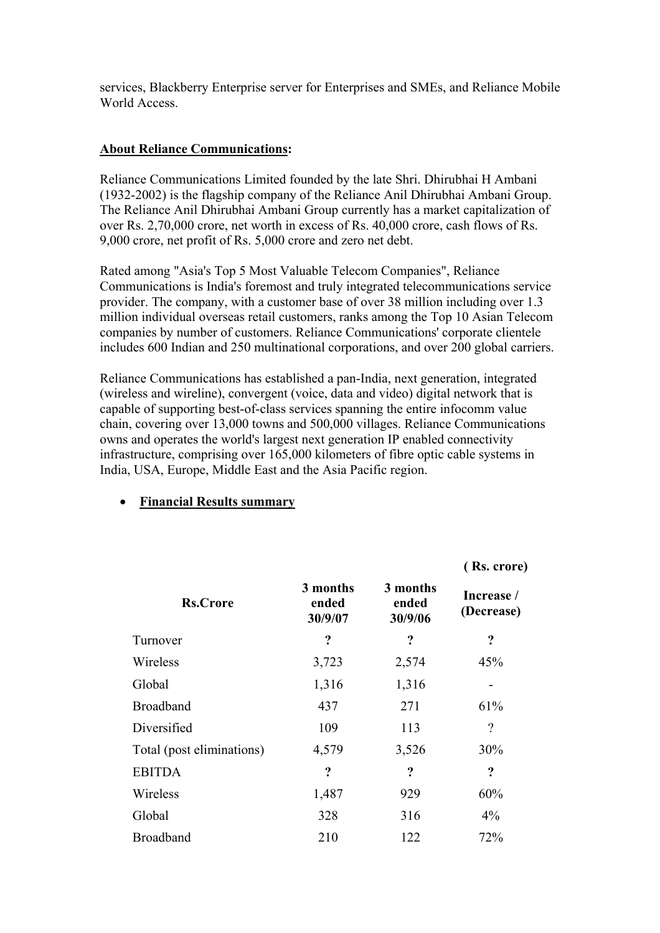services, Blackberry Enterprise server for Enterprises and SMEs, and Reliance Mobile World Access.

#### **About Reliance Communications:**

Reliance Communications Limited founded by the late Shri. Dhirubhai H Ambani (1932-2002) is the flagship company of the Reliance Anil Dhirubhai Ambani Group. The Reliance Anil Dhirubhai Ambani Group currently has a market capitalization of over Rs. 2,70,000 crore, net worth in excess of Rs. 40,000 crore, cash flows of Rs. 9,000 crore, net profit of Rs. 5,000 crore and zero net debt.

Rated among "Asia's Top 5 Most Valuable Telecom Companies", Reliance Communications is India's foremost and truly integrated telecommunications service provider. The company, with a customer base of over 38 million including over 1.3 million individual overseas retail customers, ranks among the Top 10 Asian Telecom companies by number of customers. Reliance Communications' corporate clientele includes 600 Indian and 250 multinational corporations, and over 200 global carriers.

Reliance Communications has established a pan-India, next generation, integrated (wireless and wireline), convergent (voice, data and video) digital network that is capable of supporting best-of-class services spanning the entire infocomm value chain, covering over 13,000 towns and 500,000 villages. Reliance Communications owns and operates the world's largest next generation IP enabled connectivity infrastructure, comprising over 165,000 kilometers of fibre optic cable systems in India, USA, Europe, Middle East and the Asia Pacific region.

|                           |                              |                              | (Rs. crore)              |
|---------------------------|------------------------------|------------------------------|--------------------------|
| <b>Rs.Crore</b>           | 3 months<br>ended<br>30/9/07 | 3 months<br>ended<br>30/9/06 | Increase /<br>(Decrease) |
| Turnover                  | ?                            | ?                            | ?                        |
| Wireless                  | 3,723                        | 2,574                        | 45%                      |
| Global                    | 1,316                        | 1,316                        |                          |
| <b>Broadband</b>          | 437                          | 271                          | 61%                      |
| Diversified               | 109                          | 113                          | $\gamma$                 |
| Total (post eliminations) | 4,579                        | 3,526                        | 30%                      |
| <b>EBITDA</b>             | ?                            | ?                            | ?                        |
| Wireless                  | 1,487                        | 929                          | 60%                      |
| Global                    | 328                          | 316                          | $4\%$                    |
| <b>Broadband</b>          | 210                          | 122                          | 72%                      |

### • **Financial Results summary**